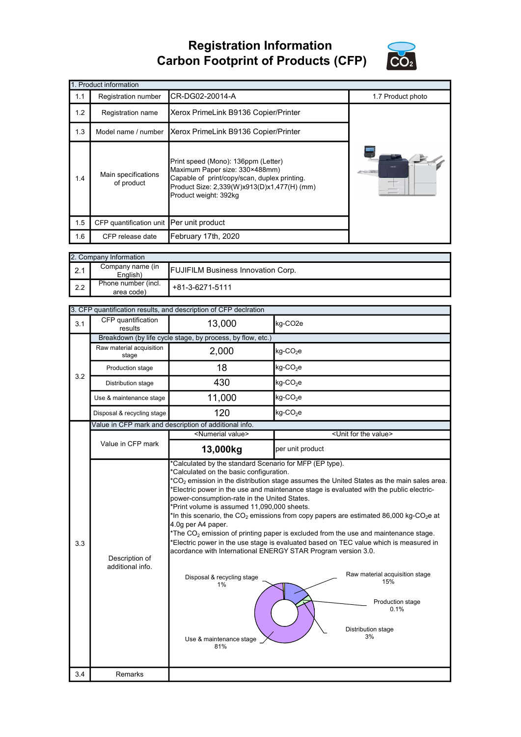## Registration Information Carbon Footprint of Products (CFP)



| 1. Product information |                                          |                                                                                                                                                                                               |                   |  |
|------------------------|------------------------------------------|-----------------------------------------------------------------------------------------------------------------------------------------------------------------------------------------------|-------------------|--|
| 1.1                    | Registration number                      | CR-DG02-20014-A                                                                                                                                                                               | 1.7 Product photo |  |
| 1.2                    | Registration name                        | Xerox PrimeLink B9136 Copier/Printer                                                                                                                                                          |                   |  |
| 1.3                    | Model name / number                      | Xerox PrimeLink B9136 Copier/Printer                                                                                                                                                          |                   |  |
| 1.4                    | Main specifications<br>of product        | Print speed (Mono): 136ppm (Letter)<br>Maximum Paper size: 330×488mm)<br>Capable of print/copy/scan, duplex printing.<br>Product Size: 2,339(W)x913(D)x1,477(H) (mm)<br>Product weight: 392kg | <b>Marget</b>     |  |
| 1.5                    | CFP quantification unit Per unit product |                                                                                                                                                                                               |                   |  |
| 1.6                    | CFP release date                         | February 17th, 2020                                                                                                                                                                           |                   |  |

|     | 2. Company Information            |                                           |  |  |  |
|-----|-----------------------------------|-------------------------------------------|--|--|--|
| 2.1 | Company name (in<br>English)      | <b>FUJIFILM Business Innovation Corp.</b> |  |  |  |
| 2.2 | Phone number (incl.<br>area code) | +81-3-6271-5111                           |  |  |  |

|     | 3. CFP quantification results, and description of CFP declration |                                                                                                                                                                                                                                                                                                        |                                                                                                                                                                                                                                                                                                                                                                                                                                                                                                                                                                                                  |  |  |  |
|-----|------------------------------------------------------------------|--------------------------------------------------------------------------------------------------------------------------------------------------------------------------------------------------------------------------------------------------------------------------------------------------------|--------------------------------------------------------------------------------------------------------------------------------------------------------------------------------------------------------------------------------------------------------------------------------------------------------------------------------------------------------------------------------------------------------------------------------------------------------------------------------------------------------------------------------------------------------------------------------------------------|--|--|--|
| 3.1 | CFP quantification<br>results                                    | 13,000                                                                                                                                                                                                                                                                                                 | kg-CO <sub>2e</sub>                                                                                                                                                                                                                                                                                                                                                                                                                                                                                                                                                                              |  |  |  |
|     |                                                                  | Breakdown (by life cycle stage, by process, by flow, etc.)                                                                                                                                                                                                                                             |                                                                                                                                                                                                                                                                                                                                                                                                                                                                                                                                                                                                  |  |  |  |
|     | Raw material acquisition<br>stage                                | 2,000                                                                                                                                                                                                                                                                                                  | $kg$ -CO <sub>2</sub> e                                                                                                                                                                                                                                                                                                                                                                                                                                                                                                                                                                          |  |  |  |
| 3.2 | Production stage                                                 | 18                                                                                                                                                                                                                                                                                                     | $kg$ -CO <sub>2</sub> e                                                                                                                                                                                                                                                                                                                                                                                                                                                                                                                                                                          |  |  |  |
|     | Distribution stage                                               | 430                                                                                                                                                                                                                                                                                                    | kg-CO <sub>2</sub> e                                                                                                                                                                                                                                                                                                                                                                                                                                                                                                                                                                             |  |  |  |
|     | Use & maintenance stage                                          | 11,000                                                                                                                                                                                                                                                                                                 | $kg$ -CO <sub>2</sub> e                                                                                                                                                                                                                                                                                                                                                                                                                                                                                                                                                                          |  |  |  |
|     | Disposal & recycling stage                                       | 120                                                                                                                                                                                                                                                                                                    | $kg$ -CO <sub>2</sub> e                                                                                                                                                                                                                                                                                                                                                                                                                                                                                                                                                                          |  |  |  |
|     |                                                                  | Value in CFP mark and description of additional info.                                                                                                                                                                                                                                                  |                                                                                                                                                                                                                                                                                                                                                                                                                                                                                                                                                                                                  |  |  |  |
|     |                                                                  | <numerial value=""></numerial>                                                                                                                                                                                                                                                                         | <unit for="" the="" value=""></unit>                                                                                                                                                                                                                                                                                                                                                                                                                                                                                                                                                             |  |  |  |
|     | Value in CFP mark                                                | 13,000kg                                                                                                                                                                                                                                                                                               | per unit product                                                                                                                                                                                                                                                                                                                                                                                                                                                                                                                                                                                 |  |  |  |
| 3.3 | Description of<br>additional info.                               | *Calculated on the basic configuration.<br>power-consumption-rate in the United States.<br>*Print volume is assumed 11,090,000 sheets.<br>4.0g per A4 paper.<br>acordance with International ENERGY STAR Program version 3.0.<br>Disposal & recycling stage<br>$1\%$<br>Use & maintenance stage<br>81% | $^*$ CO <sub>2</sub> emission in the distribution stage assumes the United States as the main sales area.<br>*Electric power in the use and maintenance stage is evaluated with the public electric-<br>*In this scenario, the $CO_2$ emissions from copy papers are estimated 86,000 kg-CO <sub>2</sub> e at<br>*The $CO2$ emission of printing paper is excluded from the use and maintenance stage.<br>*Electric power in the use stage is evaluated based on TEC value which is measured in<br>Raw material acquisition stage<br>15%<br>Production stage<br>0.1%<br>Distribution stage<br>3% |  |  |  |
| 3.4 | <b>Remarks</b>                                                   |                                                                                                                                                                                                                                                                                                        |                                                                                                                                                                                                                                                                                                                                                                                                                                                                                                                                                                                                  |  |  |  |